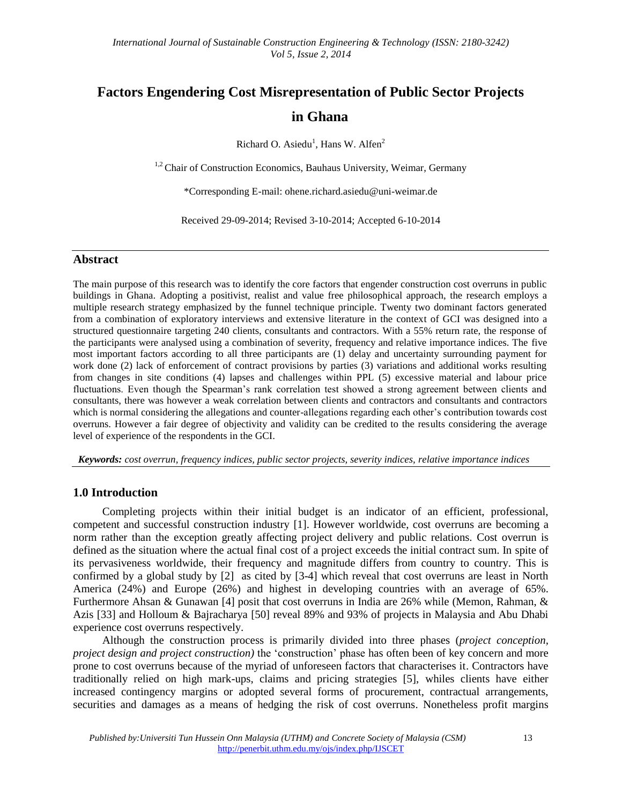# **Factors Engendering Cost Misrepresentation of Public Sector Projects in Ghana**

Richard O. Asiedu<sup>1</sup>, Hans W. Alfen<sup>2</sup>

<sup>1,2</sup> Chair of Construction Economics, Bauhaus University, Weimar, Germany

\*Corresponding E-mail: ohene.richard.asiedu@uni-weimar.de

Received 29-09-2014; Revised 3-10-2014; Accepted 6-10-2014

#### **Abstract**

The main purpose of this research was to identify the core factors that engender construction cost overruns in public buildings in Ghana. Adopting a positivist, realist and value free philosophical approach, the research employs a multiple research strategy emphasized by the funnel technique principle. Twenty two dominant factors generated from a combination of exploratory interviews and extensive literature in the context of GCI was designed into a structured questionnaire targeting 240 clients, consultants and contractors. With a 55% return rate, the response of the participants were analysed using a combination of severity, frequency and relative importance indices. The five most important factors according to all three participants are (1) delay and uncertainty surrounding payment for work done (2) lack of enforcement of contract provisions by parties (3) variations and additional works resulting from changes in site conditions (4) lapses and challenges within PPL (5) excessive material and labour price fluctuations. Even though the Spearman's rank correlation test showed a strong agreement between clients and consultants, there was however a weak correlation between clients and contractors and consultants and contractors which is normal considering the allegations and counter-allegations regarding each other's contribution towards cost overruns. However a fair degree of objectivity and validity can be credited to the results considering the average level of experience of the respondents in the GCI.

*Keywords: cost overrun, frequency indices, public sector projects, severity indices, relative importance indices*

#### **1.0 Introduction**

Completing projects within their initial budget is an indicator of an efficient, professional, competent and successful construction industry [1]. However worldwide, cost overruns are becoming a norm rather than the exception greatly affecting project delivery and public relations. Cost overrun is defined as the situation where the actual final cost of a project exceeds the initial contract sum. In spite of its pervasiveness worldwide, their frequency and magnitude differs from country to country. This is confirmed by a global study by [2] as cited by [3-4] which reveal that cost overruns are least in North America (24%) and Europe (26%) and highest in developing countries with an average of 65%. Furthermore Ahsan & Gunawan [4] posit that cost overruns in India are 26% while (Memon, Rahman, & Azis [33] and Holloum & Bajracharya [50] reveal 89% and 93% of projects in Malaysia and Abu Dhabi experience cost overruns respectively.

Although the construction process is primarily divided into three phases (*project conception, project design and project construction)* the 'construction' phase has often been of key concern and more prone to cost overruns because of the myriad of unforeseen factors that characterises it. Contractors have traditionally relied on high mark-ups, claims and pricing strategies [5], whiles clients have either increased contingency margins or adopted several forms of procurement, contractual arrangements, securities and damages as a means of hedging the risk of cost overruns. Nonetheless profit margins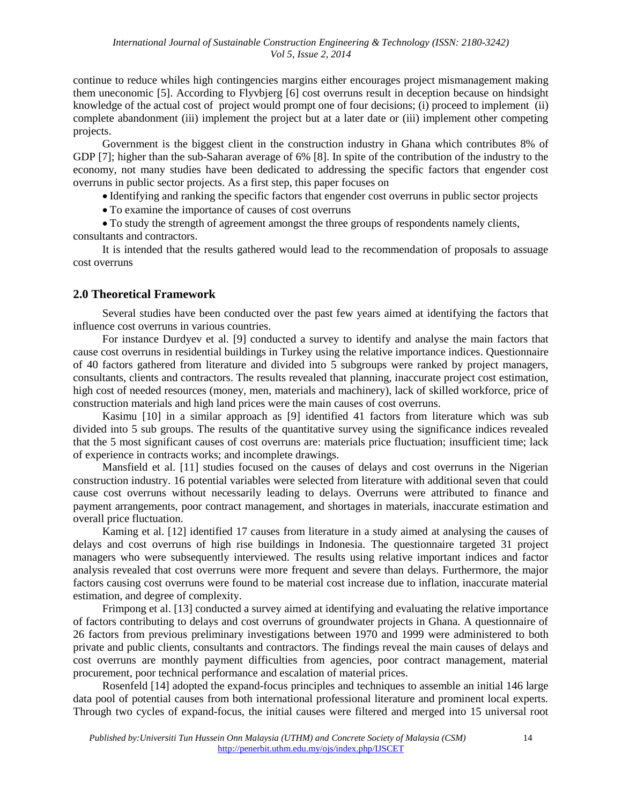continue to reduce whiles high contingencies margins either encourages project mismanagement making them uneconomic [5]. According to Flyvbjerg [6] cost overruns result in deception because on hindsight knowledge of the actual cost of project would prompt one of four decisions; (i) proceed to implement (ii) complete abandonment (iii) implement the project but at a later date or (iii) implement other competing projects.

Government is the biggest client in the construction industry in Ghana which contributes 8% of GDP [7]; higher than the sub-Saharan average of 6% [8]. In spite of the contribution of the industry to the economy, not many studies have been dedicated to addressing the specific factors that engender cost overruns in public sector projects. As a first step, this paper focuses on

Identifying and ranking the specific factors that engender cost overruns in public sector projects

To examine the importance of causes of cost overruns

 To study the strength of agreement amongst the three groups of respondents namely clients, consultants and contractors.

It is intended that the results gathered would lead to the recommendation of proposals to assuage cost overruns

## **2.0 Theoretical Framework**

Several studies have been conducted over the past few years aimed at identifying the factors that influence cost overruns in various countries.

For instance Durdyev et al. [9] conducted a survey to identify and analyse the main factors that cause cost overruns in residential buildings in Turkey using the relative importance indices. Questionnaire of 40 factors gathered from literature and divided into 5 subgroups were ranked by project managers, consultants, clients and contractors. The results revealed that planning, inaccurate project cost estimation, high cost of needed resources (money, men, materials and machinery), lack of skilled workforce, price of construction materials and high land prices were the main causes of cost overruns.

Kasimu [10] in a similar approach as [9] identified 41 factors from literature which was sub divided into 5 sub groups. The results of the quantitative survey using the significance indices revealed that the 5 most significant causes of cost overruns are: materials price fluctuation; insufficient time; lack of experience in contracts works; and incomplete drawings.

Mansfield et al. [11] studies focused on the causes of delays and cost overruns in the Nigerian construction industry. 16 potential variables were selected from literature with additional seven that could cause cost overruns without necessarily leading to delays. Overruns were attributed to finance and payment arrangements, poor contract management, and shortages in materials, inaccurate estimation and overall price fluctuation.

Kaming et al. [12] identified 17 causes from literature in a study aimed at analysing the causes of delays and cost overruns of high rise buildings in Indonesia. The questionnaire targeted 31 project managers who were subsequently interviewed. The results using relative important indices and factor analysis revealed that cost overruns were more frequent and severe than delays. Furthermore, the major factors causing cost overruns were found to be material cost increase due to inflation, inaccurate material estimation, and degree of complexity.

Frimpong et al. [13] conducted a survey aimed at identifying and evaluating the relative importance of factors contributing to delays and cost overruns of groundwater projects in Ghana. A questionnaire of 26 factors from previous preliminary investigations between 1970 and 1999 were administered to both private and public clients, consultants and contractors. The findings reveal the main causes of delays and cost overruns are monthly payment difficulties from agencies, poor contract management, material procurement, poor technical performance and escalation of material prices.

Rosenfeld [14] adopted the expand-focus principles and techniques to assemble an initial 146 large data pool of potential causes from both international professional literature and prominent local experts. Through two cycles of expand-focus, the initial causes were filtered and merged into 15 universal root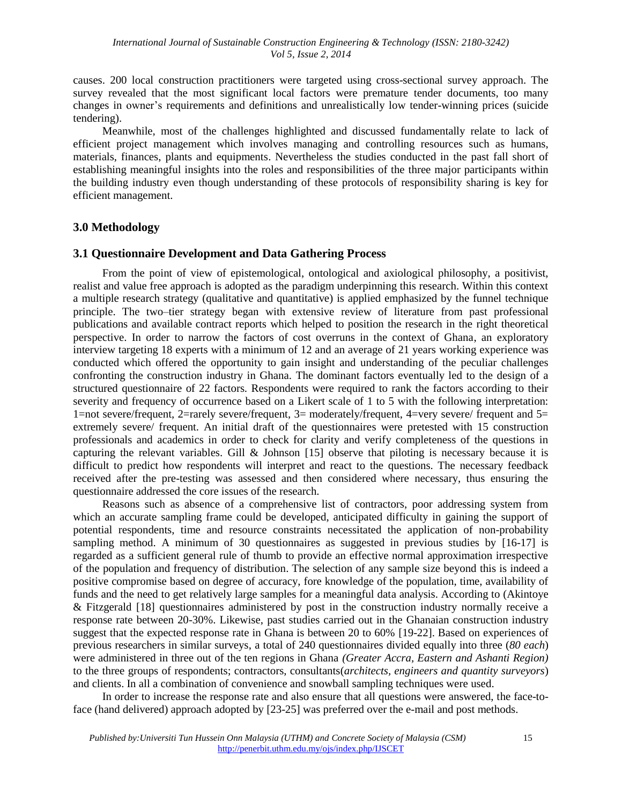causes. 200 local construction practitioners were targeted using cross-sectional survey approach. The survey revealed that the most significant local factors were premature tender documents, too many changes in owner's requirements and definitions and unrealistically low tender-winning prices (suicide tendering).

Meanwhile, most of the challenges highlighted and discussed fundamentally relate to lack of efficient project management which involves managing and controlling resources such as humans, materials, finances, plants and equipments. Nevertheless the studies conducted in the past fall short of establishing meaningful insights into the roles and responsibilities of the three major participants within the building industry even though understanding of these protocols of responsibility sharing is key for efficient management.

#### **3.0 Methodology**

## **3.1 Questionnaire Development and Data Gathering Process**

From the point of view of epistemological, ontological and axiological philosophy, a positivist, realist and value free approach is adopted as the paradigm underpinning this research. Within this context a multiple research strategy (qualitative and quantitative) is applied emphasized by the funnel technique principle. The two–tier strategy began with extensive review of literature from past professional publications and available contract reports which helped to position the research in the right theoretical perspective. In order to narrow the factors of cost overruns in the context of Ghana, an exploratory interview targeting 18 experts with a minimum of 12 and an average of 21 years working experience was conducted which offered the opportunity to gain insight and understanding of the peculiar challenges confronting the construction industry in Ghana. The dominant factors eventually led to the design of a structured questionnaire of 22 factors. Respondents were required to rank the factors according to their severity and frequency of occurrence based on a Likert scale of 1 to 5 with the following interpretation: 1=not severe/frequent, 2=rarely severe/frequent, 3= moderately/frequent, 4=very severe/ frequent and 5= extremely severe/ frequent. An initial draft of the questionnaires were pretested with 15 construction professionals and academics in order to check for clarity and verify completeness of the questions in capturing the relevant variables. Gill & Johnson [15] observe that piloting is necessary because it is difficult to predict how respondents will interpret and react to the questions. The necessary feedback received after the pre-testing was assessed and then considered where necessary, thus ensuring the questionnaire addressed the core issues of the research.

Reasons such as absence of a comprehensive list of contractors, poor addressing system from which an accurate sampling frame could be developed, anticipated difficulty in gaining the support of potential respondents, time and resource constraints necessitated the application of non-probability sampling method. A minimum of 30 questionnaires as suggested in previous studies by [16-17] is regarded as a sufficient general rule of thumb to provide an effective normal approximation irrespective of the population and frequency of distribution. The selection of any sample size beyond this is indeed a positive compromise based on degree of accuracy, fore knowledge of the population, time, availability of funds and the need to get relatively large samples for a meaningful data analysis. According to (Akintoye & Fitzgerald [18] questionnaires administered by post in the construction industry normally receive a response rate between 20-30%. Likewise, past studies carried out in the Ghanaian construction industry suggest that the expected response rate in Ghana is between 20 to 60% [19-22]. Based on experiences of previous researchers in similar surveys, a total of 240 questionnaires divided equally into three (*80 each*) were administered in three out of the ten regions in Ghana *(Greater Accra, Eastern and Ashanti Region)* to the three groups of respondents; contractors, consultants(*architects, engineers and quantity surveyors*) and clients. In all a combination of convenience and snowball sampling techniques were used.

In order to increase the response rate and also ensure that all questions were answered, the face-toface (hand delivered) approach adopted by [23-25] was preferred over the e-mail and post methods.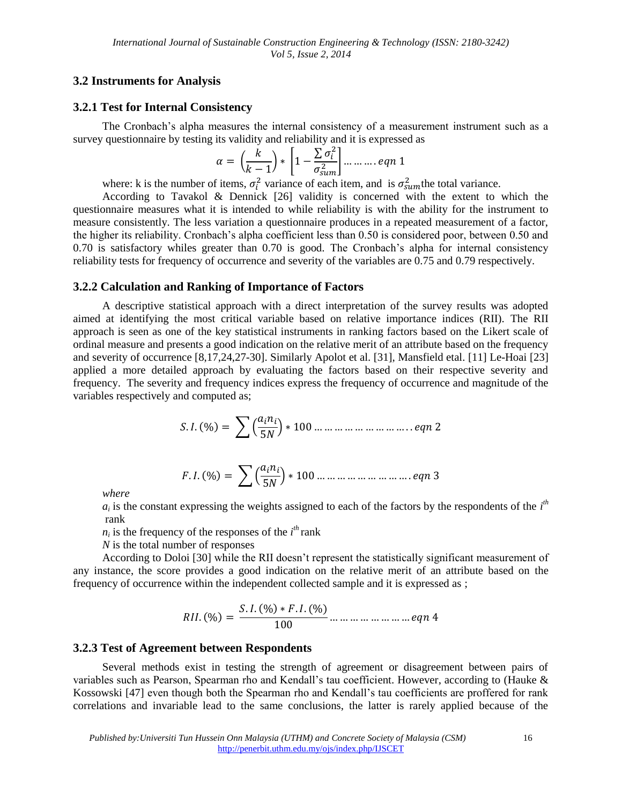# **3.2 Instruments for Analysis**

## **3.2.1 Test for Internal Consistency**

The Cronbach's alpha measures the internal consistency of a measurement instrument such as a survey questionnaire by testing its validity and reliability and it is expressed as

$$
\alpha = \left(\frac{k}{k-1}\right) * \left[1 - \frac{\sum \sigma_i^2}{\sigma_{sum}^2}\right] \dots \dots \dots \dots \text{eqn 1}
$$

where: k is the number of items,  $\sigma_i^2$  variance of each item, and is  $\sigma_{sum}^2$  the total variance.

According to Tavakol & Dennick [26] validity is concerned with the extent to which the questionnaire measures what it is intended to while reliability is with the ability for the instrument to measure consistently. The less variation a questionnaire produces in a repeated measurement of a factor, the higher its reliability. Cronbach's alpha coefficient less than 0.50 is considered poor, between 0.50 and 0.70 is satisfactory whiles greater than 0.70 is good. The Cronbach's alpha for internal consistency reliability tests for frequency of occurrence and severity of the variables are 0.75 and 0.79 respectively.

## **3.2.2 Calculation and Ranking of Importance of Factors**

A descriptive statistical approach with a direct interpretation of the survey results was adopted aimed at identifying the most critical variable based on relative importance indices (RII). The RII approach is seen as one of the key statistical instruments in ranking factors based on the Likert scale of ordinal measure and presents a good indication on the relative merit of an attribute based on the frequency and severity of occurrence [8,17,24,27-30]. Similarly Apolot et al. [31], Mansfield etal. [11] Le-Hoai [23] applied a more detailed approach by evaluating the factors based on their respective severity and frequency. The severity and frequency indices express the frequency of occurrence and magnitude of the variables respectively and computed as;

 

 

*where* 

 $a_i$  is the constant expressing the weights assigned to each of the factors by the respondents of the  $i<sup>th</sup>$ rank

 $n_i$  is the frequency of the responses of the  $i^{th}$  rank

*N* is the total number of responses

According to Doloi [30] while the RII doesn't represent the statistically significant measurement of any instance, the score provides a good indication on the relative merit of an attribute based on the frequency of occurrence within the independent collected sample and it is expressed as ;

 

## **3.2.3 Test of Agreement between Respondents**

Several methods exist in testing the strength of agreement or disagreement between pairs of variables such as Pearson, Spearman rho and Kendall's tau coefficient. However, according to (Hauke & Kossowski [47] even though both the Spearman rho and Kendall's tau coefficients are proffered for rank correlations and invariable lead to the same conclusions, the latter is rarely applied because of the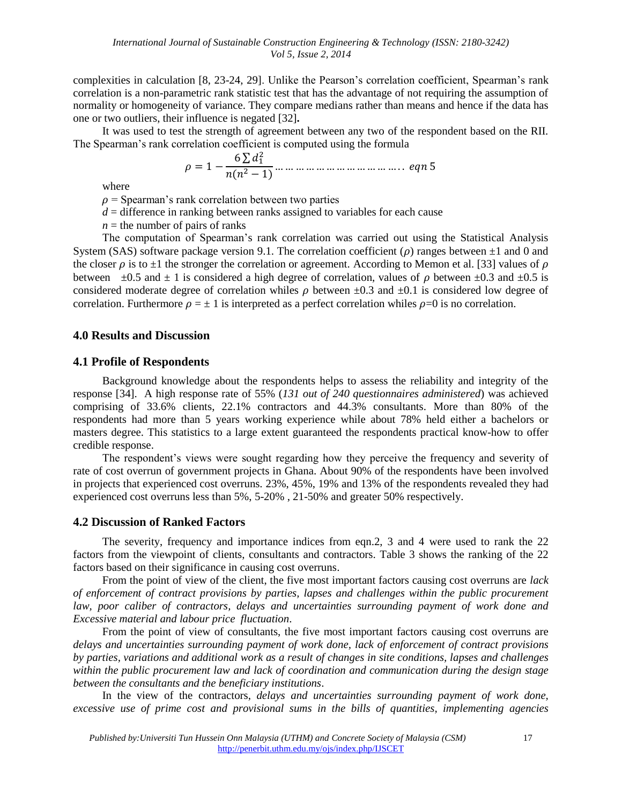complexities in calculation [8, 23-24, 29]. Unlike the Pearson's correlation coefficient, Spearman's rank correlation is a non-parametric rank statistic test that has the advantage of not requiring the assumption of normality or homogeneity of variance. They compare medians rather than means and hence if the data has one or two outliers, their influence is negated [32]**.**

It was used to test the strength of agreement between any two of the respondent based on the RII. The Spearman's rank correlation coefficient is computed using the formula

 

where

 $\rho$  = Spearman's rank correlation between two parties

 $d =$  difference in ranking between ranks assigned to variables for each cause

 $n =$  the number of pairs of ranks

The computation of Spearman's rank correlation was carried out using the Statistical Analysis System (SAS) software package version 9.1. The correlation coefficient ( $\rho$ ) ranges between  $\pm 1$  and 0 and the closer  $\rho$  is to  $\pm 1$  the stronger the correlation or agreement. According to Memon et al. [33] values of  $\rho$ between  $\pm 0.5$  and  $\pm 1$  is considered a high degree of correlation, values of  $\rho$  between  $\pm 0.3$  and  $\pm 0.5$  is considered moderate degree of correlation whiles  $\rho$  between  $\pm 0.3$  and  $\pm 0.1$  is considered low degree of correlation. Furthermore  $\rho = \pm 1$  is interpreted as a perfect correlation whiles  $\rho = 0$  is no correlation.

## **4.0 Results and Discussion**

#### **4.1 Profile of Respondents**

Background knowledge about the respondents helps to assess the reliability and integrity of the response [34]. A high response rate of 55% (*131 out of 240 questionnaires administered*) was achieved comprising of 33.6% clients, 22.1% contractors and 44.3% consultants. More than 80% of the respondents had more than 5 years working experience while about 78% held either a bachelors or masters degree. This statistics to a large extent guaranteed the respondents practical know-how to offer credible response.

The respondent's views were sought regarding how they perceive the frequency and severity of rate of cost overrun of government projects in Ghana. About 90% of the respondents have been involved in projects that experienced cost overruns. 23%, 45%, 19% and 13% of the respondents revealed they had experienced cost overruns less than 5%, 5-20% , 21-50% and greater 50% respectively.

#### **4.2 Discussion of Ranked Factors**

The severity, frequency and importance indices from eqn.2, 3 and 4 were used to rank the 22 factors from the viewpoint of clients, consultants and contractors. Table 3 shows the ranking of the 22 factors based on their significance in causing cost overruns.

From the point of view of the client, the five most important factors causing cost overruns are *lack of enforcement of contract provisions by parties, lapses and challenges within the public procurement law, poor caliber of contractors, delays and uncertainties surrounding payment of work done and Excessive material and labour price fluctuation*.

From the point of view of consultants, the five most important factors causing cost overruns are *delays and uncertainties surrounding payment of work done, lack of enforcement of contract provisions by parties, variations and additional work as a result of changes in site conditions, lapses and challenges within the public procurement law and lack of coordination and communication during the design stage between the consultants and the beneficiary institutions*.

In the view of the contractors, *delays and uncertainties surrounding payment of work done, excessive use of prime cost and provisional sums in the bills of quantities, implementing agencies*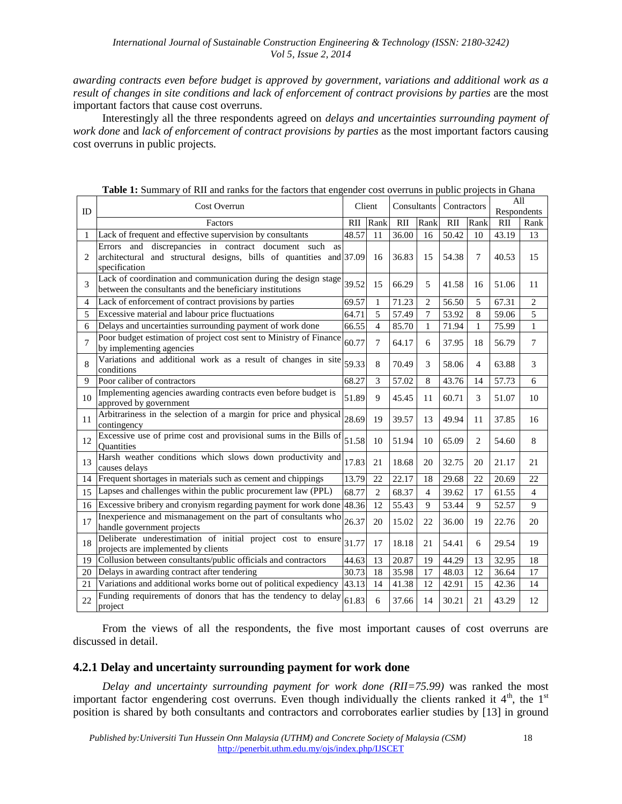*awarding contracts even before budget is approved by government, variations and additional work as a result of changes in site conditions and lack of enforcement of contract provisions by parties* are the most important factors that cause cost overruns.

Interestingly all the three respondents agreed on *delays and uncertainties surrounding payment of work done* and *lack of enforcement of contract provisions by parties* as the most important factors causing cost overruns in public projects.

|    | Cost Overrun                                                                                                                                     |       | Client<br>Consultants |       | Contractors  |       | All            |             |                |
|----|--------------------------------------------------------------------------------------------------------------------------------------------------|-------|-----------------------|-------|--------------|-------|----------------|-------------|----------------|
| ID |                                                                                                                                                  |       |                       |       |              |       |                | Respondents |                |
|    | Factors                                                                                                                                          | RII   | Rank                  | RII   | Rank         | RII   | Rank           | <b>RII</b>  | Rank           |
| 1  | Lack of frequent and effective supervision by consultants                                                                                        | 48.57 | 11                    | 36.00 | 16           | 50.42 | 10             | 43.19       | 13             |
| 2  | Errors and discrepancies in contract document such<br>as<br>architectural and structural designs, bills of quantities and 37.09<br>specification |       | 16                    | 36.83 | 15           | 54.38 | $\tau$         | 40.53       | 15             |
| 3  | Lack of coordination and communication during the design stage<br>between the consultants and the beneficiary institutions                       | 39.52 | 15                    | 66.29 | 5            | 41.58 | 16             | 51.06       | 11             |
| 4  | Lack of enforcement of contract provisions by parties                                                                                            | 69.57 | 1                     | 71.23 | 2            | 56.50 | 5              | 67.31       | $\overline{2}$ |
| 5  | Excessive material and labour price fluctuations                                                                                                 | 64.71 | 5                     | 57.49 | 7            | 53.92 | 8              | 59.06       | 5              |
| 6  | Delays and uncertainties surrounding payment of work done                                                                                        | 66.55 | $\overline{4}$        | 85.70 | $\mathbf{1}$ | 71.94 | $\mathbf{1}$   | 75.99       | $\mathbf{1}$   |
| 7  | Poor budget estimation of project cost sent to Ministry of Finance<br>by implementing agencies                                                   | 60.77 | $\overline{7}$        | 64.17 | 6            | 37.95 | 18             | 56.79       | 7              |
| 8  | Variations and additional work as a result of changes in site<br>conditions                                                                      | 59.33 | 8                     | 70.49 | 3            | 58.06 | $\overline{4}$ | 63.88       | 3              |
| 9  | Poor caliber of contractors                                                                                                                      | 68.27 | 3                     | 57.02 | 8            | 43.76 | 14             | 57.73       | 6              |
| 10 | Implementing agencies awarding contracts even before budget is<br>approved by government                                                         | 51.89 | 9                     | 45.45 | 11           | 60.71 | 3              | 51.07       | 10             |
| 11 | Arbitrariness in the selection of a margin for price and physical<br>contingency                                                                 | 28.69 | 19                    | 39.57 | 13           | 49.94 | 11             | 37.85       | 16             |
| 12 | Excessive use of prime cost and provisional sums in the Bills of<br><b>Quantities</b>                                                            | 51.58 | 10                    | 51.94 | 10           | 65.09 | 2              | 54.60       | 8              |
| 13 | Harsh weather conditions which slows down productivity and<br>causes delays                                                                      | 17.83 | 21                    | 18.68 | 20           | 32.75 | 20             | 21.17       | 21             |
|    | 14 Frequent shortages in materials such as cement and chippings                                                                                  | 13.79 | 22                    | 22.17 | 18           | 29.68 | 22             | 20.69       | 22             |
| 15 | Lapses and challenges within the public procurement law (PPL)                                                                                    | 68.77 | $\overline{c}$        | 68.37 | 4            | 39.62 | 17             | 61.55       | 4              |
| 16 | Excessive bribery and cronyism regarding payment for work done                                                                                   | 48.36 | 12                    | 55.43 | 9            | 53.44 | 9              | 52.57       | 9              |
| 17 | Inexperience and mismanagement on the part of consultants who<br>handle government projects                                                      | 26.37 | 20                    | 15.02 | 22           | 36.00 | 19             | 22.76       | 20             |
| 18 | Deliberate underestimation of initial project cost to ensure<br>projects are implemented by clients                                              | 31.77 | 17                    | 18.18 | 21           | 54.41 | 6              | 29.54       | 19             |
| 19 | Collusion between consultants/public officials and contractors                                                                                   | 44.63 | 13                    | 20.87 | 19           | 44.29 | 13             | 32.95       | 18             |
| 20 | Delays in awarding contract after tendering                                                                                                      | 30.73 | 18                    | 35.98 | 17           | 48.03 | 12             | 36.64       | 17             |
| 21 | Variations and additional works borne out of political expediency                                                                                | 43.13 | 14                    | 41.38 | 12           | 42.91 | 15             | 42.36       | 14             |
| 22 | Funding requirements of donors that has the tendency to delay<br>project                                                                         | 61.83 | 6                     | 37.66 | 14           | 30.21 | 21             | 43.29       | 12             |

**Table 1:** Summary of RII and ranks for the factors that engender cost overruns in public projects in Ghana

From the views of all the respondents, the five most important causes of cost overruns are discussed in detail.

# **4.2.1 Delay and uncertainty surrounding payment for work done**

*Delay and uncertainty surrounding payment for work done (RII=75.99)* was ranked the most important factor engendering cost overruns. Even though individually the clients ranked it  $4<sup>th</sup>$ , the  $1<sup>st</sup>$ position is shared by both consultants and contractors and corroborates earlier studies by [13] in ground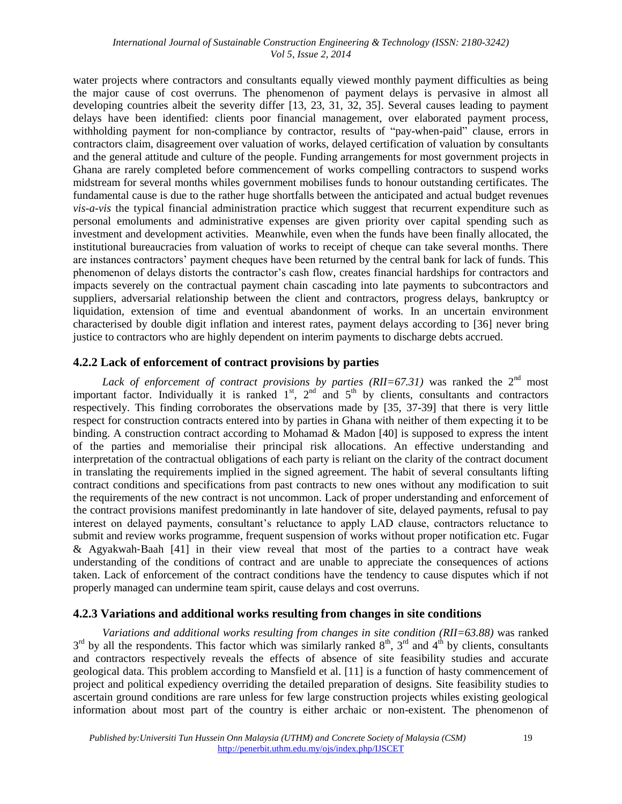water projects where contractors and consultants equally viewed monthly payment difficulties as being the major cause of cost overruns. The phenomenon of payment delays is pervasive in almost all developing countries albeit the severity differ [13, 23, 31, 32, 35]. Several causes leading to payment delays have been identified: clients poor financial management, over elaborated payment process, withholding payment for non-compliance by contractor, results of "pay-when-paid" clause, errors in contractors claim, disagreement over valuation of works, delayed certification of valuation by consultants and the general attitude and culture of the people. Funding arrangements for most government projects in Ghana are rarely completed before commencement of works compelling contractors to suspend works midstream for several months whiles government mobilises funds to honour outstanding certificates. The fundamental cause is due to the rather huge shortfalls between the anticipated and actual budget revenues *vis-a-vis* the typical financial administration practice which suggest that recurrent expenditure such as personal emoluments and administrative expenses are given priority over capital spending such as investment and development activities. Meanwhile, even when the funds have been finally allocated, the institutional bureaucracies from valuation of works to receipt of cheque can take several months. There are instances contractors' payment cheques have been returned by the central bank for lack of funds. This phenomenon of delays distorts the contractor's cash flow, creates financial hardships for contractors and impacts severely on the contractual payment chain cascading into late payments to subcontractors and suppliers, adversarial relationship between the client and contractors, progress delays, bankruptcy or liquidation, extension of time and eventual abandonment of works. In an uncertain environment characterised by double digit inflation and interest rates, payment delays according to [36] never bring justice to contractors who are highly dependent on interim payments to discharge debts accrued.

# **4.2.2 Lack of enforcement of contract provisions by parties**

*Lack of enforcement of contract provisions by parties*  $(RII=67.31)$  *was ranked the*  $2<sup>nd</sup>$  *most* important factor. Individually it is ranked  $1<sup>st</sup>$ ,  $2<sup>nd</sup>$  and  $5<sup>th</sup>$  by clients, consultants and contractors respectively. This finding corroborates the observations made by [35, 37-39] that there is very little respect for construction contracts entered into by parties in Ghana with neither of them expecting it to be binding. A construction contract according to Mohamad & Madon [40] is supposed to express the intent of the parties and memorialise their principal risk allocations. An effective understanding and interpretation of the contractual obligations of each party is reliant on the clarity of the contract document in translating the requirements implied in the signed agreement. The habit of several consultants lifting contract conditions and specifications from past contracts to new ones without any modification to suit the requirements of the new contract is not uncommon. Lack of proper understanding and enforcement of the contract provisions manifest predominantly in late handover of site, delayed payments, refusal to pay interest on delayed payments, consultant's reluctance to apply LAD clause, contractors reluctance to submit and review works programme, frequent suspension of works without proper notification etc. Fugar & Agyakwah‐Baah [41] in their view reveal that most of the parties to a contract have weak understanding of the conditions of contract and are unable to appreciate the consequences of actions taken. Lack of enforcement of the contract conditions have the tendency to cause disputes which if not properly managed can undermine team spirit, cause delays and cost overruns.

## **4.2.3 Variations and additional works resulting from changes in site conditions**

*Variations and additional works resulting from changes in site condition (RII=63.88)* was ranked  $3<sup>rd</sup>$  by all the respondents. This factor which was similarly ranked  $8<sup>th</sup>$ ,  $3<sup>rd</sup>$  and  $4<sup>th</sup>$  by clients, consultants and contractors respectively reveals the effects of absence of site feasibility studies and accurate geological data. This problem according to Mansfield et al. [11] is a function of hasty commencement of project and political expediency overriding the detailed preparation of designs. Site feasibility studies to ascertain ground conditions are rare unless for few large construction projects whiles existing geological information about most part of the country is either archaic or non-existent. The phenomenon of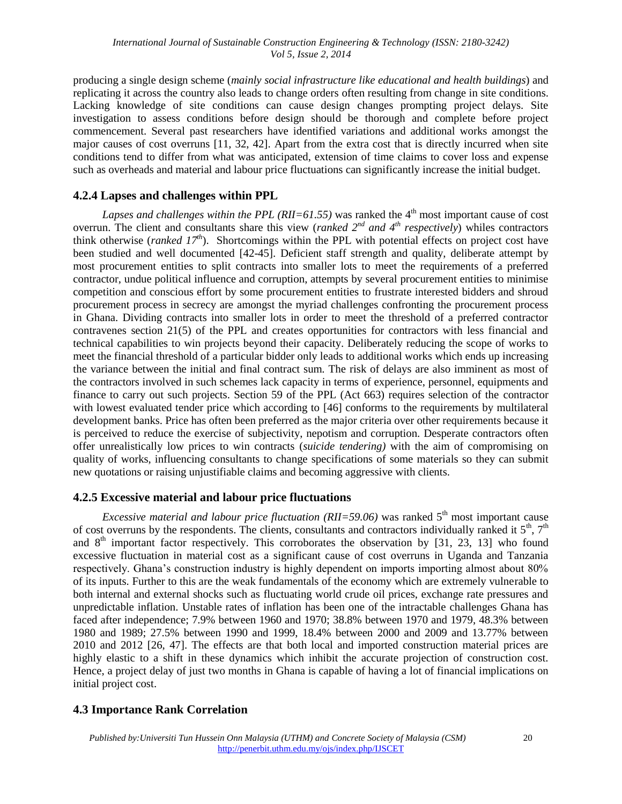producing a single design scheme (*mainly social infrastructure like educational and health buildings*) and replicating it across the country also leads to change orders often resulting from change in site conditions. Lacking knowledge of site conditions can cause design changes prompting project delays. Site investigation to assess conditions before design should be thorough and complete before project commencement. Several past researchers have identified variations and additional works amongst the major causes of cost overruns [11, 32, 42]. Apart from the extra cost that is directly incurred when site conditions tend to differ from what was anticipated, extension of time claims to cover loss and expense such as overheads and material and labour price fluctuations can significantly increase the initial budget.

# **4.2.4 Lapses and challenges within PPL**

*Lapses and challenges within the PPL (RII=61.55)* was ranked the 4<sup>th</sup> most important cause of cost overrun. The client and consultants share this view (*ranked 2nd and 4th respectively*) whiles contractors think otherwise (*ranked 17th*). Shortcomings within the PPL with potential effects on project cost have been studied and well documented [42-45]. Deficient staff strength and quality, deliberate attempt by most procurement entities to split contracts into smaller lots to meet the requirements of a preferred contractor, undue political influence and corruption, attempts by several procurement entities to minimise competition and conscious effort by some procurement entities to frustrate interested bidders and shroud procurement process in secrecy are amongst the myriad challenges confronting the procurement process in Ghana. Dividing contracts into smaller lots in order to meet the threshold of a preferred contractor contravenes section 21(5) of the PPL and creates opportunities for contractors with less financial and technical capabilities to win projects beyond their capacity. Deliberately reducing the scope of works to meet the financial threshold of a particular bidder only leads to additional works which ends up increasing the variance between the initial and final contract sum. The risk of delays are also imminent as most of the contractors involved in such schemes lack capacity in terms of experience, personnel, equipments and finance to carry out such projects. Section 59 of the PPL (Act 663) requires selection of the contractor with lowest evaluated tender price which according to [46] conforms to the requirements by multilateral development banks. Price has often been preferred as the major criteria over other requirements because it is perceived to reduce the exercise of subjectivity, nepotism and corruption. Desperate contractors often offer unrealistically low prices to win contracts (*suicide tendering)* with the aim of compromising on quality of works, influencing consultants to change specifications of some materials so they can submit new quotations or raising unjustifiable claims and becoming aggressive with clients.

# **4.2.5 Excessive material and labour price fluctuations**

*Excessive material and labour price fluctuation*  $(RII=59.06)$  was ranked  $5<sup>th</sup>$  most important cause of cost overruns by the respondents. The clients, consultants and contractors individually ranked it  $5<sup>th</sup>$ ,  $7<sup>th</sup>$ and  $8<sup>th</sup>$  important factor respectively. This corroborates the observation by [31, 23, 13] who found excessive fluctuation in material cost as a significant cause of cost overruns in Uganda and Tanzania respectively. Ghana's construction industry is highly dependent on imports importing almost about 80% of its inputs. Further to this are the weak fundamentals of the economy which are extremely vulnerable to both internal and external shocks such as fluctuating world crude oil prices, exchange rate pressures and unpredictable inflation. Unstable rates of inflation has been one of the intractable challenges Ghana has faced after independence; 7.9% between 1960 and 1970; 38.8% between 1970 and 1979, 48.3% between 1980 and 1989; 27.5% between 1990 and 1999, 18.4% between 2000 and 2009 and 13.77% between 2010 and 2012 [26, 47]. The effects are that both local and imported construction material prices are highly elastic to a shift in these dynamics which inhibit the accurate projection of construction cost. Hence, a project delay of just two months in Ghana is capable of having a lot of financial implications on initial project cost.

# **4.3 Importance Rank Correlation**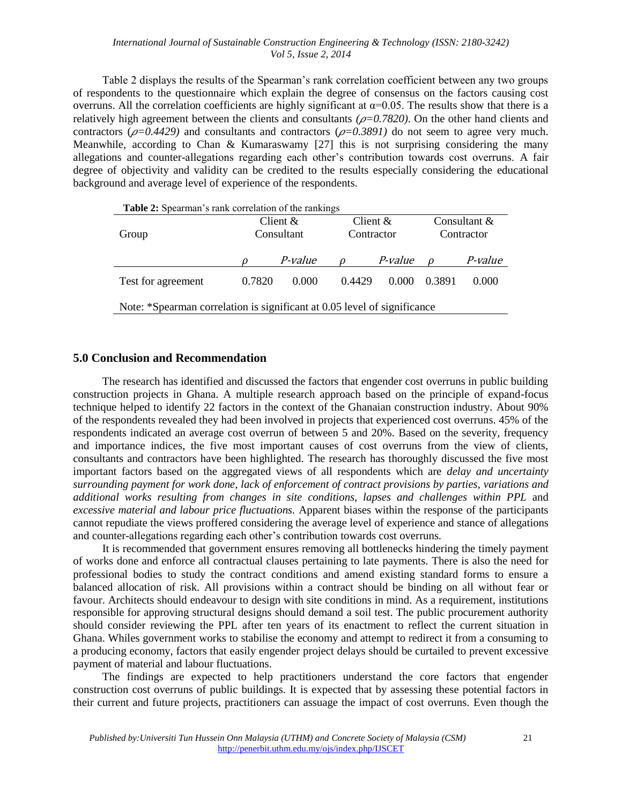#### *International Journal of Sustainable Construction Engineering & Technology (ISSN: 2180-3242) Vol 5, Issue 2, 2014*

Table 2 displays the results of the Spearman's rank correlation coefficient between any two groups of respondents to the questionnaire which explain the degree of consensus on the factors causing cost overruns. All the correlation coefficients are highly significant at  $\alpha$ =0.05. The results show that there is a relatively high agreement between the clients and consultants  $(\rho = 0.7820)$ . On the other hand clients and contractors ( $\rho$ =0.4429) and consultants and contractors ( $\rho$ =0.3891) do not seem to agree very much. Meanwhile, according to Chan & Kumaraswamy [27] this is not surprising considering the many allegations and counter-allegations regarding each other's contribution towards cost overruns. A fair degree of objectivity and validity can be credited to the results especially considering the educational background and average level of experience of the respondents.

|                    | Client $\&$<br>Consultant |         | Client $\&$ |                | Consultant $&$<br>Contractor |                |  |
|--------------------|---------------------------|---------|-------------|----------------|------------------------------|----------------|--|
| Group              |                           |         | Contractor  |                |                              |                |  |
|                    |                           | P-value |             | <i>P-value</i> | $\Omega$                     | <i>P-value</i> |  |
| Test for agreement | 0.7820                    | 0.000   | 0.4429      | 0.000          | 0.3891                       | 0.000          |  |

# **5.0 Conclusion and Recommendation**

The research has identified and discussed the factors that engender cost overruns in public building construction projects in Ghana. A multiple research approach based on the principle of expand-focus technique helped to identify 22 factors in the context of the Ghanaian construction industry. About 90% of the respondents revealed they had been involved in projects that experienced cost overruns. 45% of the respondents indicated an average cost overrun of between 5 and 20%. Based on the severity, frequency and importance indices, the five most important causes of cost overruns from the view of clients, consultants and contractors have been highlighted. The research has thoroughly discussed the five most important factors based on the aggregated views of all respondents which are *delay and uncertainty surrounding payment for work done, lack of enforcement of contract provisions by parties, variations and additional works resulting from changes in site conditions, lapses and challenges within PPL* and *excessive material and labour price fluctuations.* Apparent biases within the response of the participants cannot repudiate the views proffered considering the average level of experience and stance of allegations and counter-allegations regarding each other's contribution towards cost overruns.

It is recommended that government ensures removing all bottlenecks hindering the timely payment of works done and enforce all contractual clauses pertaining to late payments. There is also the need for professional bodies to study the contract conditions and amend existing standard forms to ensure a balanced allocation of risk. All provisions within a contract should be binding on all without fear or favour. Architects should endeavour to design with site conditions in mind. As a requirement, institutions responsible for approving structural designs should demand a soil test. The public procurement authority should consider reviewing the PPL after ten years of its enactment to reflect the current situation in Ghana. Whiles government works to stabilise the economy and attempt to redirect it from a consuming to a producing economy, factors that easily engender project delays should be curtailed to prevent excessive payment of material and labour fluctuations.

The findings are expected to help practitioners understand the core factors that engender construction cost overruns of public buildings. It is expected that by assessing these potential factors in their current and future projects, practitioners can assuage the impact of cost overruns. Even though the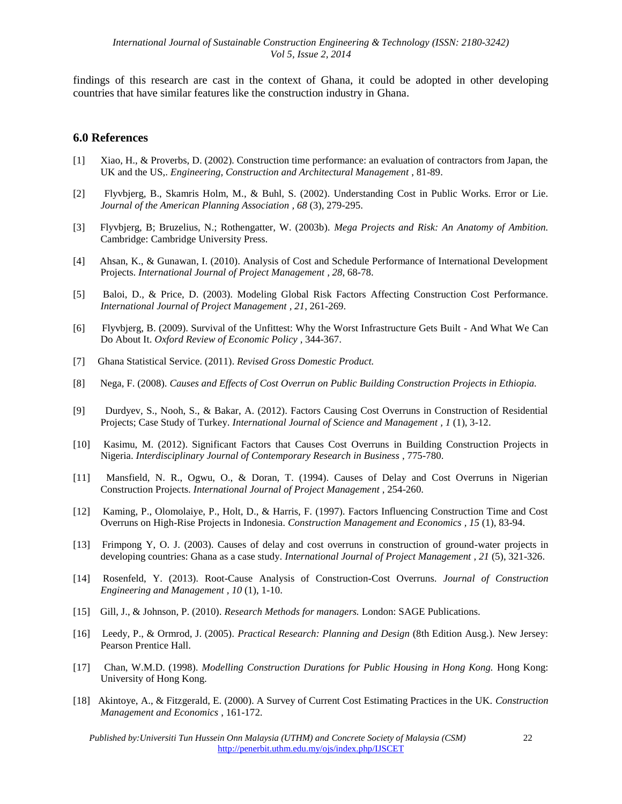findings of this research are cast in the context of Ghana, it could be adopted in other developing countries that have similar features like the construction industry in Ghana.

#### **6.0 References**

- [1] Xiao, H., & Proverbs, D. (2002). Construction time performance: an evaluation of contractors from Japan, the UK and the US,. *Engineering, Construction and Architectural Management* , 81-89.
- [2] Flyvbjerg, B., Skamris Holm, M., & Buhl, S. (2002). Understanding Cost in Public Works. Error or Lie. *Journal of the American Planning Association , 68* (3), 279-295.
- [3] Flyvbjerg, B; Bruzelius, N.; Rothengatter, W. (2003b). *Mega Projects and Risk: An Anatomy of Ambition.* Cambridge: Cambridge University Press.
- [4] Ahsan, K., & Gunawan, I. (2010). Analysis of Cost and Schedule Performance of International Development Projects. *International Journal of Project Management , 28*, 68-78.
- [5] Baloi, D., & Price, D. (2003). Modeling Global Risk Factors Affecting Construction Cost Performance. *International Journal of Project Management , 21*, 261-269.
- [6] Flyvbjerg, B. (2009). Survival of the Unfittest: Why the Worst Infrastructure Gets Built And What We Can Do About It. *Oxford Review of Economic Policy* , 344-367.
- [7] Ghana Statistical Service. (2011). *Revised Gross Domestic Product.*
- [8] Nega, F. (2008). *Causes and Effects of Cost Overrun on Public Building Construction Projects in Ethiopia.*
- [9] Durdyev, S., Nooh, S., & Bakar, A. (2012). Factors Causing Cost Overruns in Construction of Residential Projects; Case Study of Turkey. *International Journal of Science and Management , 1* (1), 3-12.
- [10] Kasimu, M. (2012). Significant Factors that Causes Cost Overruns in Building Construction Projects in Nigeria. *Interdisciplinary Journal of Contemporary Research in Business* , 775-780.
- [11] Mansfield, N. R., Ogwu, O., & Doran, T. (1994). Causes of Delay and Cost Overruns in Nigerian Construction Projects. *International Journal of Project Management* , 254-260.
- [12] Kaming, P., Olomolaiye, P., Holt, D., & Harris, F. (1997). Factors Influencing Construction Time and Cost Overruns on High-Rise Projects in Indonesia. *Construction Management and Economics , 15* (1), 83-94.
- [13] Frimpong Y, O. J. (2003). Causes of delay and cost overruns in construction of ground-water projects in developing countries: Ghana as a case study. *International Journal of Project Management , 21* (5), 321-326.
- [14] Rosenfeld, Y. (2013). Root-Cause Analysis of Construction-Cost Overruns. *Journal of Construction Engineering and Management , 10* (1), 1-10.
- [15] Gill, J., & Johnson, P. (2010). *Research Methods for managers.* London: SAGE Publications.
- [16] Leedy, P., & Ormrod, J. (2005). *Practical Research: Planning and Design* (8th Edition Ausg.). New Jersey: Pearson Prentice Hall.
- [17] Chan, W.M.D. (1998). *Modelling Construction Durations for Public Housing in Hong Kong.* Hong Kong: University of Hong Kong.
- [18] Akintoye, A., & Fitzgerald, E. (2000). A Survey of Current Cost Estimating Practices in the UK. *Construction Management and Economics* , 161-172.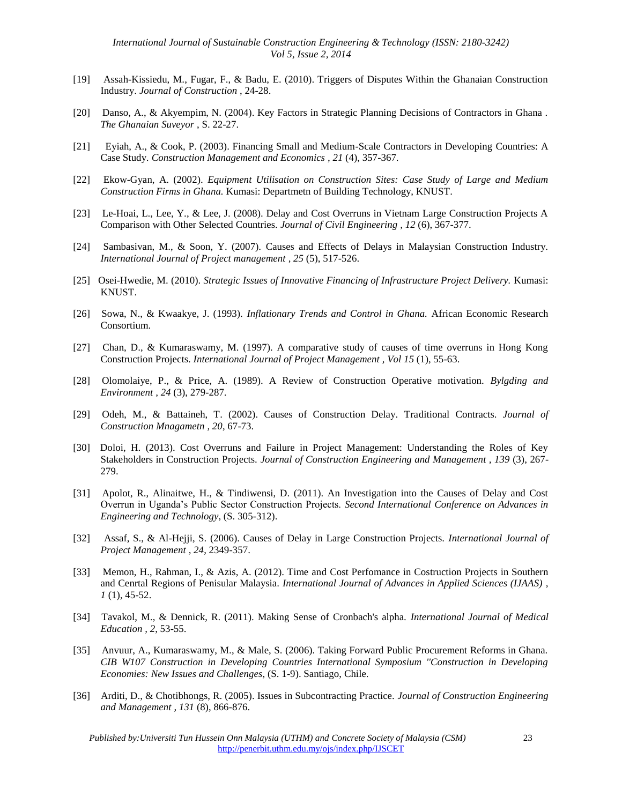- [19] Assah-Kissiedu, M., Fugar, F., & Badu, E. (2010). Triggers of Disputes Within the Ghanaian Construction Industry. *Journal of Construction* , 24-28.
- [20] Danso, A., & Akyempim, N. (2004). Key Factors in Strategic Planning Decisions of Contractors in Ghana . *The Ghanaian Suveyor* , S. 22-27.
- [21] Eyiah, A., & Cook, P. (2003). Financing Small and Medium-Scale Contractors in Developing Countries: A Case Study. *Construction Management and Economics , 21* (4), 357-367.
- [22] Ekow-Gyan, A. (2002). *Equipment Utilisation on Construction Sites: Case Study of Large and Medium Construction Firms in Ghana.* Kumasi: Departmetn of Building Technology, KNUST.
- [23] Le-Hoai, L., Lee, Y., & Lee, J. (2008). Delay and Cost Overruns in Vietnam Large Construction Projects A Comparison with Other Selected Countries. *Journal of Civil Engineering , 12* (6), 367-377.
- [24] Sambasivan, M., & Soon, Y. (2007). Causes and Effects of Delays in Malaysian Construction Industry. *International Journal of Project management , 25* (5), 517-526.
- [25] Osei-Hwedie, M. (2010). *Strategic Issues of Innovative Financing of Infrastructure Project Delivery.* Kumasi: KNUST.
- [26] Sowa, N., & Kwaakye, J. (1993). *Inflationary Trends and Control in Ghana.* African Economic Research Consortium.
- [27] Chan, D., & Kumaraswamy, M. (1997). A comparative study of causes of time overruns in Hong Kong Construction Projects. *International Journal of Project Management , Vol 15* (1), 55-63.
- [28] Olomolaiye, P., & Price, A. (1989). A Review of Construction Operative motivation. *Bylgding and Environment , 24* (3), 279-287.
- [29] Odeh, M., & Battaineh, T. (2002). Causes of Construction Delay. Traditional Contracts. *Journal of Construction Mnagametn , 20*, 67-73.
- [30] Doloi, H. (2013). Cost Overruns and Failure in Project Management: Understanding the Roles of Key Stakeholders in Construction Projects. *Journal of Construction Engineering and Management , 139* (3), 267- 279.
- [31] Apolot, R., Alinaitwe, H., & Tindiwensi, D. (2011). An Investigation into the Causes of Delay and Cost Overrun in Uganda's Public Sector Construction Projects. *Second International Conference on Advances in Engineering and Technology*, (S. 305-312).
- [32] Assaf, S., & Al-Hejji, S. (2006). Causes of Delay in Large Construction Projects. *International Journal of Project Management , 24*, 2349-357.
- [33] Memon, H., Rahman, I., & Azis, A. (2012). Time and Cost Perfomance in Costruction Projects in Southern and Cenrtal Regions of Penisular Malaysia. *International Journal of Advances in Applied Sciences (IJAAS) , 1* (1), 45-52.
- [34] Tavakol, M., & Dennick, R. (2011). Making Sense of Cronbach's alpha. *International Journal of Medical Education , 2*, 53-55.
- [35] Anvuur, A., Kumaraswamy, M., & Male, S. (2006). Taking Forward Public Procurement Reforms in Ghana. *CIB W107 Construction in Developing Countries International Symposium ''Construction in Developing Economies: New Issues and Challenges*, (S. 1-9). Santiago, Chile.
- [36] Arditi, D., & Chotibhongs, R. (2005). Issues in Subcontracting Practice. *Journal of Construction Engineering and Management , 131* (8), 866-876.